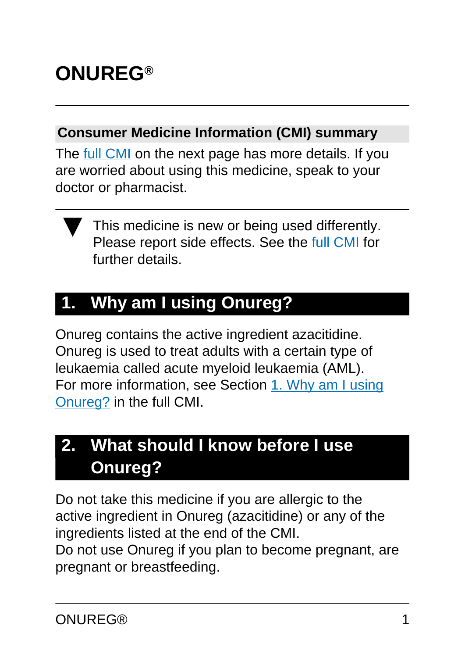# **ONUREG®**

#### **Consumer Medicine Information (CMI) summary**

The [full CMI](#page-5-0) on the next page has more details. If you are worried about using this medicine, speak to your doctor or pharmacist.



This medicine is new or being used differently. Please report side effects. See the [full CMI](#page-5-0) for further details.

# **1. Why am I using Onureg?**

Onureg contains the active ingredient azacitidine. Onureg is used to treat adults with a certain type of leukaemia called acute myeloid leukaemia (AML). For more information, see Section [1. Why am I using](#page-5-1) [Onureg?](#page-5-1) in the full CMI.

# **2. What should I know before I use Onureg?**

Do not take this medicine if you are allergic to the active ingredient in Onureg (azacitidine) or any of the ingredients listed at the end of the CMI. Do not use Onureg if you plan to become pregnant, are pregnant or breastfeeding.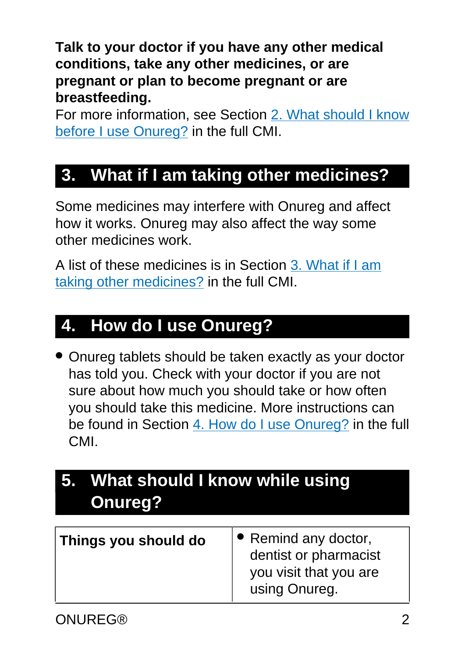**Talk to your doctor if you have any other medical conditions, take any other medicines, or are pregnant or plan to become pregnant or are breastfeeding.** 

For more information, see Section [2. What should I know](#page-6-0) [before I use Onureg?](#page-6-0) in the full CMI.

## **3. What if I am taking other medicines?**

Some medicines may interfere with Onureg and affect how it works. Onureg may also affect the way some other medicines work.

A list of these medicines is in Section [3. What if I am](#page-9-0) [taking other medicines?](#page-9-0) in the full CMI.

#### **4. How do I use Onureg?**

• Onureg tablets should be taken exactly as your doctor has told you. Check with your doctor if you are not sure about how much you should take or how often you should take this medicine. More instructions can be found in Section [4. How do I use Onureg?](#page-9-1) in the full CMI.

# **5. What should I know while using Onureg?**

| Things you should do | $\bullet$ Remind any doctor,<br>dentist or pharmacist<br>you visit that you are<br>using Onureg. |
|----------------------|--------------------------------------------------------------------------------------------------|
|----------------------|--------------------------------------------------------------------------------------------------|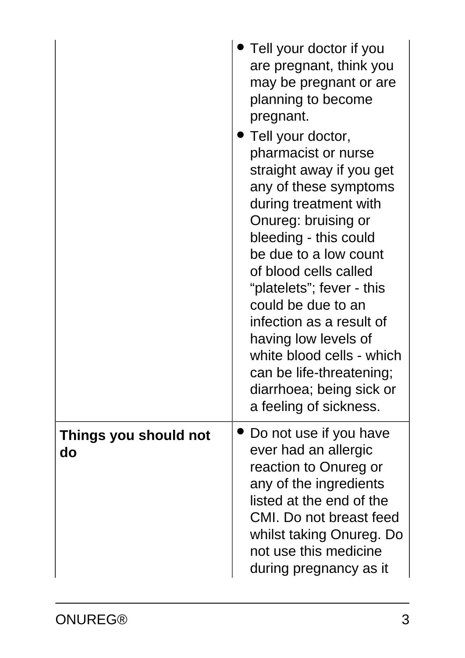|                             | Tell your doctor if you<br>are pregnant, think you<br>may be pregnant or are<br>planning to become<br>pregnant.<br>$\blacktriangleright$ Tell your doctor,<br>pharmacist or nurse<br>straight away if you get<br>any of these symptoms<br>during treatment with<br>Onureg: bruising or<br>bleeding - this could<br>be due to a low count<br>of blood cells called<br>"platelets"; fever - this<br>could be due to an<br>infection as a result of<br>having low levels of<br>white blood cells - which<br>can be life-threatening;<br>diarrhoea; being sick or<br>a feeling of sickness. |
|-----------------------------|-----------------------------------------------------------------------------------------------------------------------------------------------------------------------------------------------------------------------------------------------------------------------------------------------------------------------------------------------------------------------------------------------------------------------------------------------------------------------------------------------------------------------------------------------------------------------------------------|
| Things you should not<br>do | Do not use if you have<br>ever had an allergic<br>reaction to Onureg or<br>any of the ingredients<br>listed at the end of the<br>CMI. Do not breast feed<br>whilst taking Onureg. Do<br>not use this medicine<br>during pregnancy as it                                                                                                                                                                                                                                                                                                                                                 |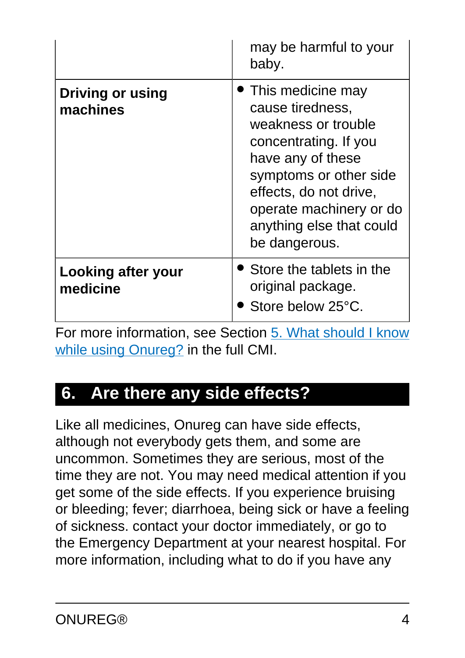|                                       | may be harmful to your<br>baby.                                                                                                                                                                                                        |
|---------------------------------------|----------------------------------------------------------------------------------------------------------------------------------------------------------------------------------------------------------------------------------------|
| <b>Driving or using</b><br>machines   | This medicine may<br>cause tiredness,<br>weakness or trouble<br>concentrating. If you<br>have any of these<br>symptoms or other side<br>effects, do not drive,<br>operate machinery or do<br>anything else that could<br>be dangerous. |
| <b>Looking after your</b><br>medicine | • Store the tablets in the<br>original package.<br>Store below 25°C.                                                                                                                                                                   |

For more information, see Section [5. What should I know](#page-11-0) [while using Onureg?](#page-11-0) in the full CMI.

## **6. Are there any side effects?**

Like all medicines, Onureg can have side effects, although not everybody gets them, and some are uncommon. Sometimes they are serious, most of the time they are not. You may need medical attention if you get some of the side effects. If you experience bruising or bleeding; fever; diarrhoea, being sick or have a feeling of sickness. contact your doctor immediately, or go to the Emergency Department at your nearest hospital. For more information, including what to do if you have any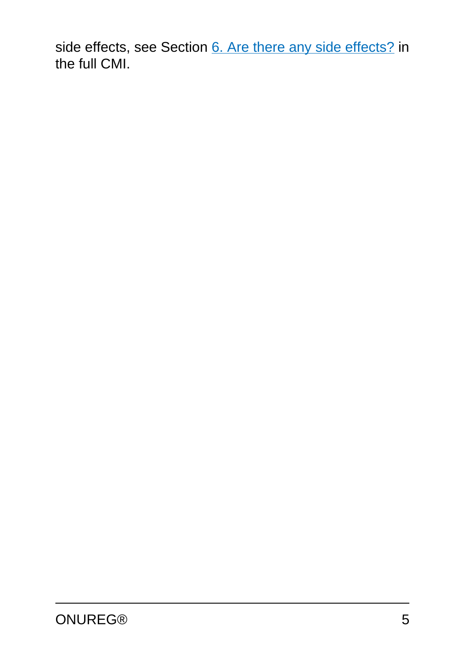side effects, see Section [6. Are there any side effects?](#page-14-0) in the full CMI.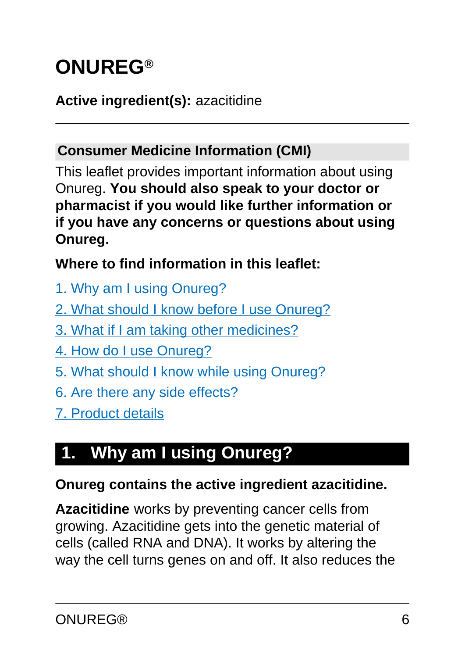# <span id="page-5-0"></span>**ONUREG®**

#### **Active ingredient(s):** azacitidine

#### **Consumer Medicine Information (CMI)**

This leaflet provides important information about using Onureg. **You should also speak to your doctor or pharmacist if you would like further information or if you have any concerns or questions about using Onureg.**

#### **Where to find information in this leaflet:**

- [1. Why am I using Onureg?](#page-5-1)
- [2. What should I know before I use Onureg?](#page-6-0)
- [3. What if I am taking other medicines?](#page-9-0)
- [4. How do I use Onureg?](#page-9-0)
- [5. What should I know while using Onureg?](#page-11-0)
- [6. Are there any side effects?](#page-14-0)
- [7. Product details](#page-16-0)

# <span id="page-5-1"></span>**1. Why am I using Onureg?**

#### **Onureg contains the active ingredient azacitidine.**

**Azacitidine** works by preventing cancer cells from growing. Azacitidine gets into the genetic material of cells (called RNA and DNA). It works by altering the way the cell turns genes on and off. It also reduces the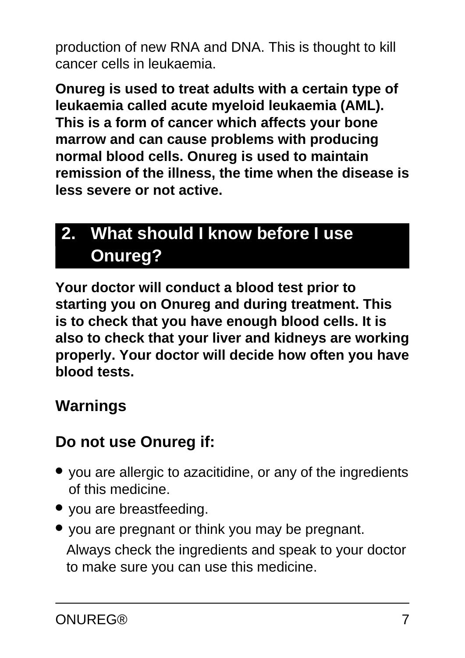production of new RNA and DNA. This is thought to kill cancer cells in leukaemia.

**Onureg is used to treat adults with a certain type of leukaemia called acute myeloid leukaemia (AML). This is a form of cancer which affects your bone marrow and can cause problems with producing normal blood cells. Onureg is used to maintain remission of the illness, the time when the disease is less severe or not active.**

# <span id="page-6-0"></span>**2. What should I know before I use Onureg?**

**Your doctor will conduct a blood test prior to starting you on Onureg and during treatment. This is to check that you have enough blood cells. It is also to check that your liver and kidneys are working properly. Your doctor will decide how often you have blood tests.**

#### **Warnings**

#### **Do not use Onureg if:**

- you are allergic to azacitidine, or any of the ingredients of this medicine.
- you are breastfeeding.
- you are pregnant or think you may be pregnant. Always check the ingredients and speak to your doctor to make sure you can use this medicine.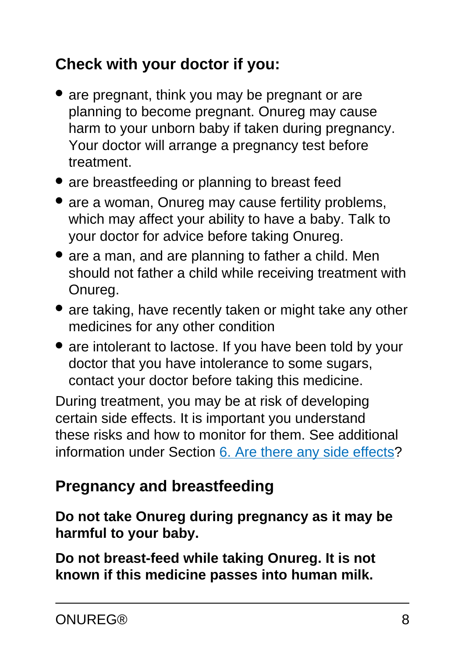## **Check with your doctor if you:**

- are pregnant, think you may be pregnant or are planning to become pregnant. Onureg may cause harm to your unborn baby if taken during pregnancy. Your doctor will arrange a pregnancy test before treatment.
- are breastfeeding or planning to breast feed
- are a woman, Onureg may cause fertility problems, which may affect your ability to have a baby. Talk to your doctor for advice before taking Onureg.
- are a man, and are planning to father a child. Men should not father a child while receiving treatment with Onureg.
- are taking, have recently taken or might take any other medicines for any other condition
- are intolerant to lactose. If you have been told by your doctor that you have intolerance to some sugars, contact your doctor before taking this medicine.

During treatment, you may be at risk of developing certain side effects. It is important you understand these risks and how to monitor for them. See additional information under Section [6. Are there any side effects](#page-14-0)?

## **Pregnancy and breastfeeding**

#### **Do not take Onureg during pregnancy as it may be harmful to your baby.**

**Do not breast-feed while taking Onureg. It is not known if this medicine passes into human milk.**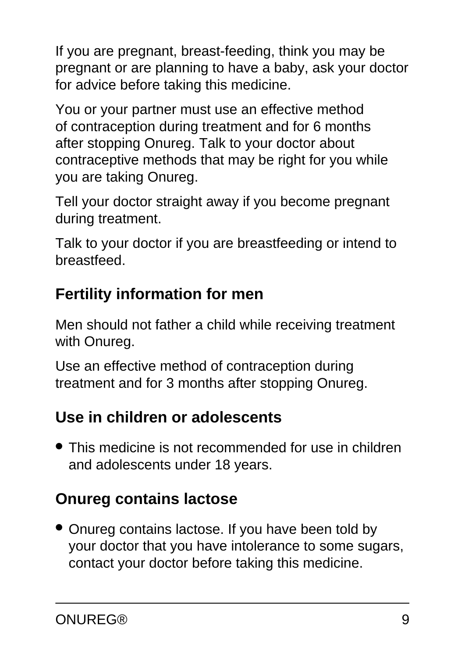If you are pregnant, breast-feeding, think you may be pregnant or are planning to have a baby, ask your doctor for advice before taking this medicine.

You or your partner must use an effective method of contraception during treatment and for 6 months after stopping Onureg. Talk to your doctor about contraceptive methods that may be right for you while you are taking Onureg.

Tell your doctor straight away if you become pregnant during treatment.

Talk to your doctor if you are breastfeeding or intend to breastfeed.

## **Fertility information for men**

Men should not father a child while receiving treatment with Onureg.

Use an effective method of contraception during treatment and for 3 months after stopping Onureg.

## **Use in children or adolescents**

• This medicine is not recommended for use in children and adolescents under 18 years.

# **Onureg contains lactose**

• Onureg contains lactose. If you have been told by your doctor that you have intolerance to some sugars, contact your doctor before taking this medicine.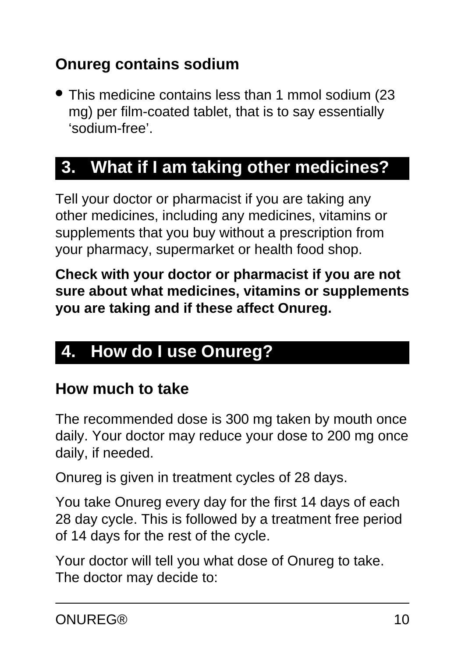## **Onureg contains sodium**

● This medicine contains less than 1 mmol sodium (23 mg) per film-coated tablet, that is to say essentially 'sodium-free'.

# <span id="page-9-0"></span>**3. What if I am taking other medicines?**

Tell your doctor or pharmacist if you are taking any other medicines, including any medicines, vitamins or supplements that you buy without a prescription from your pharmacy, supermarket or health food shop.

**Check with your doctor or pharmacist if you are not sure about what medicines, vitamins or supplements you are taking and if these affect Onureg.**

# <span id="page-9-1"></span>**4. How do I use Onureg?**

#### **How much to take**

The recommended dose is 300 mg taken by mouth once daily. Your doctor may reduce your dose to 200 mg once daily, if needed.

Onureg is given in treatment cycles of 28 days.

You take Onureg every day for the first 14 days of each 28 day cycle. This is followed by a treatment free period of 14 days for the rest of the cycle.

Your doctor will tell you what dose of Onureg to take. The doctor may decide to: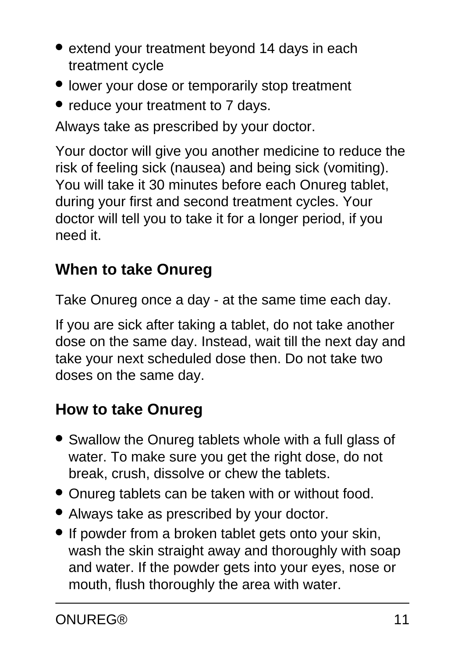- extend your treatment beyond 14 days in each treatment cycle
- lower your dose or temporarily stop treatment
- reduce your treatment to 7 days.

Always take as prescribed by your doctor.

Your doctor will give you another medicine to reduce the risk of feeling sick (nausea) and being sick (vomiting). You will take it 30 minutes before each Onureg tablet, during your first and second treatment cycles. Your doctor will tell you to take it for a longer period, if you need it.

## **When to take Onureg**

Take Onureg once a day - at the same time each day.

If you are sick after taking a tablet, do not take another dose on the same day. Instead, wait till the next day and take your next scheduled dose then. Do not take two doses on the same day.

## **How to take Onureg**

- Swallow the Onureg tablets whole with a full glass of water. To make sure you get the right dose, do not break, crush, dissolve or chew the tablets.
- Onureg tablets can be taken with or without food.
- Always take as prescribed by your doctor.
- If powder from a broken tablet gets onto your skin, wash the skin straight away and thoroughly with soap and water. If the powder gets into your eyes, nose or mouth, flush thoroughly the area with water.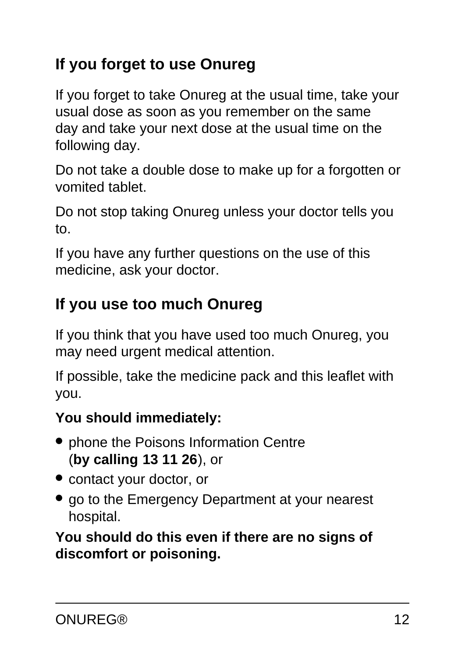## **If you forget to use Onureg**

If you forget to take Onureg at the usual time, take your usual dose as soon as you remember on the same day and take your next dose at the usual time on the following day.

Do not take a double dose to make up for a forgotten or vomited tablet.

Do not stop taking Onureg unless your doctor tells you to.

If you have any further questions on the use of this medicine, ask your doctor.

#### **If you use too much Onureg**

If you think that you have used too much Onureg, you may need urgent medical attention.

If possible, take the medicine pack and this leaflet with you.

#### **You should immediately:**

- phone the Poisons Information Centre (**by calling 13 11 26**), or
- contact your doctor, or
- go to the Emergency Department at your nearest hospital.

<span id="page-11-0"></span>**You should do this even if there are no signs of discomfort or poisoning.**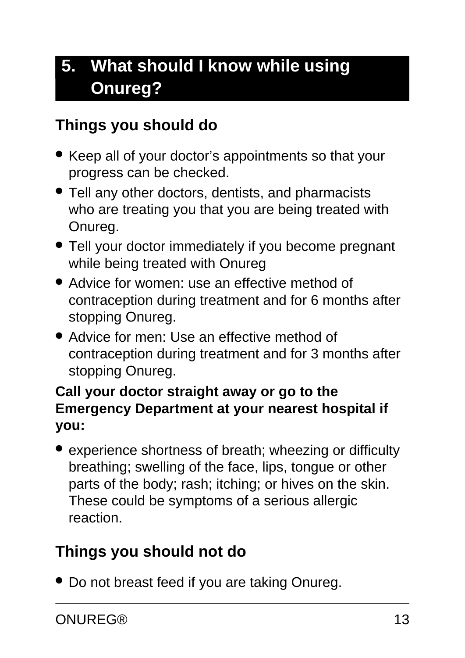# **5. What should I know while using Onureg?**

#### **Things you should do**

- Keep all of your doctor's appointments so that your progress can be checked.
- Tell any other doctors, dentists, and pharmacists who are treating you that you are being treated with Onureg.
- Tell your doctor immediately if you become pregnant while being treated with Onureg
- Advice for women: use an effective method of contraception during treatment and for 6 months after stopping Onureg.
- Advice for men: Use an effective method of contraception during treatment and for 3 months after stopping Onureg.

#### **Call your doctor straight away or go to the Emergency Department at your nearest hospital if you:**

• experience shortness of breath; wheezing or difficulty breathing; swelling of the face, lips, tongue or other parts of the body; rash; itching; or hives on the skin. These could be symptoms of a serious allergic reaction.

#### **Things you should not do**

• Do not breast feed if you are taking Onureg.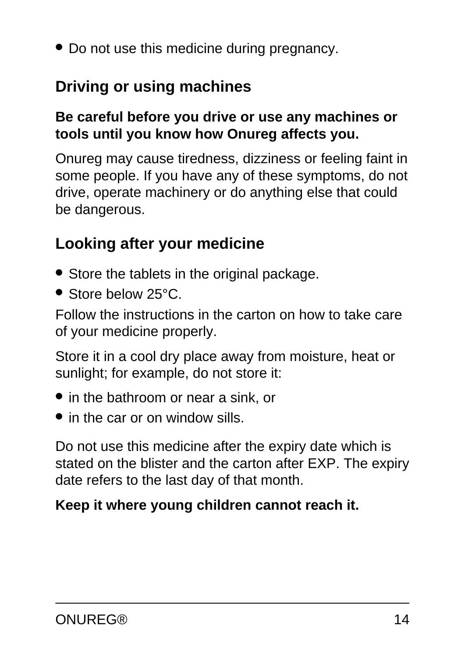• Do not use this medicine during pregnancy.

#### **Driving or using machines**

#### **Be careful before you drive or use any machines or tools until you know how Onureg affects you.**

Onureg may cause tiredness, dizziness or feeling faint in some people. If you have any of these symptoms, do not drive, operate machinery or do anything else that could be dangerous.

#### **Looking after your medicine**

- Store the tablets in the original package.
- Store below 25°C.

Follow the instructions in the carton on how to take care of your medicine properly.

Store it in a cool dry place away from moisture, heat or sunlight; for example, do not store it:

- in the bathroom or near a sink, or
- in the car or on window sills.

Do not use this medicine after the expiry date which is stated on the blister and the carton after EXP. The expiry date refers to the last day of that month.

#### **Keep it where young children cannot reach it.**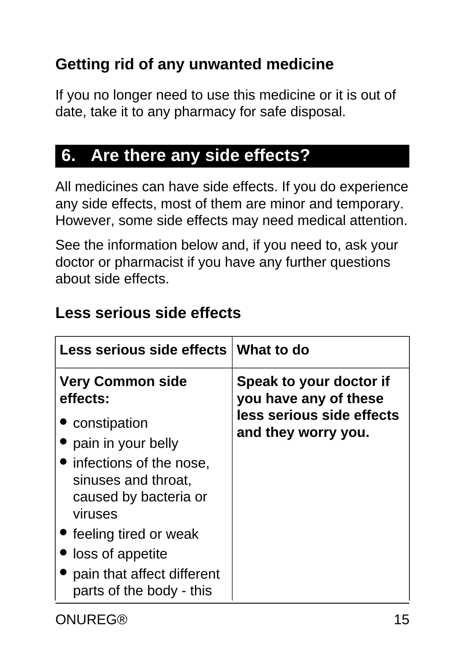## **Getting rid of any unwanted medicine**

If you no longer need to use this medicine or it is out of date, take it to any pharmacy for safe disposal.

# <span id="page-14-0"></span>**6. Are there any side effects?**

All medicines can have side effects. If you do experience any side effects, most of them are minor and temporary. However, some side effects may need medical attention.

See the information below and, if you need to, ask your doctor or pharmacist if you have any further questions about side effects.

| Less serious side effects What to do                                                 |                                                  |
|--------------------------------------------------------------------------------------|--------------------------------------------------|
| <b>Very Common side</b><br>effects:                                                  | Speak to your doctor if<br>you have any of these |
| • constipation                                                                       | less serious side effects                        |
| pain in your belly                                                                   | and they worry you.                              |
| • infections of the nose,<br>sinuses and throat,<br>caused by bacteria or<br>viruses |                                                  |
| • feeling tired or weak                                                              |                                                  |
| loss of appetite                                                                     |                                                  |
| • pain that affect different<br>parts of the body - this                             |                                                  |

#### **Less serious side effects**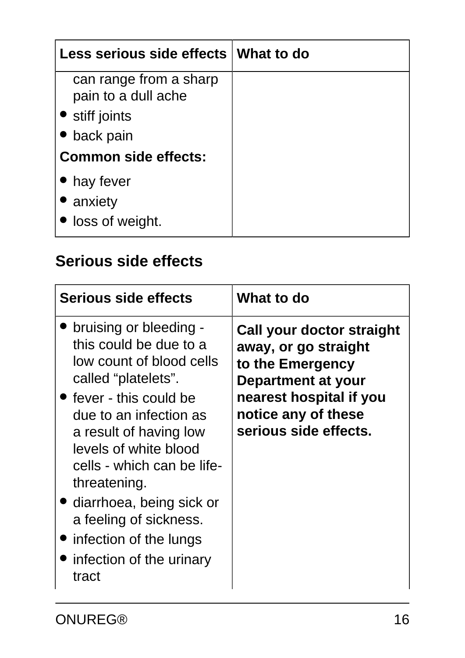| Less serious side effects   What to do        |  |
|-----------------------------------------------|--|
| can range from a sharp<br>pain to a dull ache |  |
| • stiff joints                                |  |
| back pain                                     |  |
| <b>Common side effects:</b>                   |  |
| • hay fever                                   |  |
| • anxiety                                     |  |
| loss of weight.                               |  |

## **Serious side effects**

| Serious side effects                                                                                                                                                                                                                                                                                                                                                                       | What to do                                                                                                                                                             |
|--------------------------------------------------------------------------------------------------------------------------------------------------------------------------------------------------------------------------------------------------------------------------------------------------------------------------------------------------------------------------------------------|------------------------------------------------------------------------------------------------------------------------------------------------------------------------|
| bruising or bleeding -<br>this could be due to a<br>low count of blood cells<br>called "platelets".<br>$\bullet$ fever - this could be<br>due to an infection as<br>a result of having low<br>levels of white blood<br>cells - which can be life-<br>threatening.<br>• diarrhoea, being sick or<br>a feeling of sickness.<br>• infection of the lungs<br>infection of the urinary<br>tract | Call your doctor straight<br>away, or go straight<br>to the Emergency<br>Department at your<br>nearest hospital if you<br>notice any of these<br>serious side effects. |

ONUREG® 16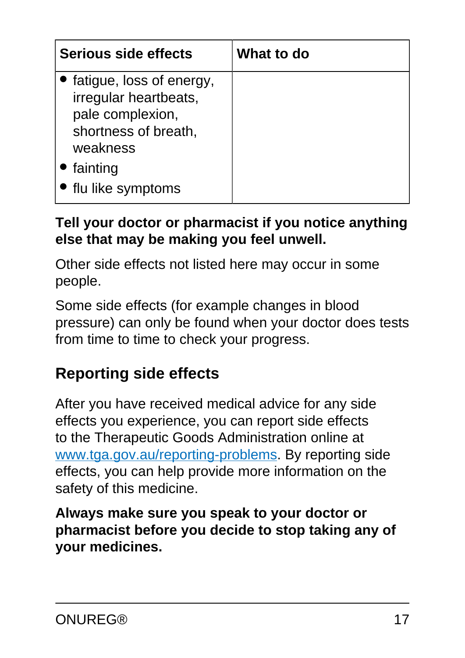| Serious side effects                                                                                      | What to do |
|-----------------------------------------------------------------------------------------------------------|------------|
| fatigue, loss of energy,<br>irregular heartbeats,<br>pale complexion,<br>shortness of breath,<br>weakness |            |
| fainting<br>flu like symptoms                                                                             |            |

#### **Tell your doctor or pharmacist if you notice anything else that may be making you feel unwell.**

Other side effects not listed here may occur in some people.

Some side effects (for example changes in blood pressure) can only be found when your doctor does tests from time to time to check your progress.

#### **Reporting side effects**

After you have received medical advice for any side effects you experience, you can report side effects to the Therapeutic Goods Administration online at [www.tga.gov.au/reporting-problems.](http://www.tga.gov.au/reporting-problems) By reporting side effects, you can help provide more information on the safety of this medicine.

<span id="page-16-0"></span>**Always make sure you speak to your doctor or pharmacist before you decide to stop taking any of your medicines.**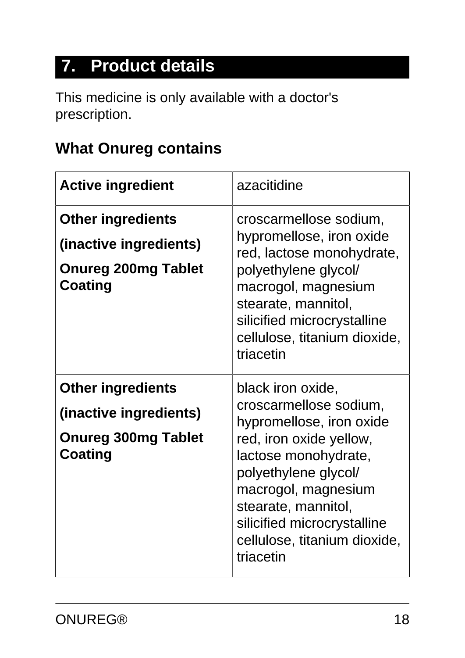# **7. Product details**

This medicine is only available with a doctor's prescription.

# **What Onureg contains**

| <b>Active ingredient</b>                                                                           | azacitidine                                                                                                                                                                                                                                                                  |
|----------------------------------------------------------------------------------------------------|------------------------------------------------------------------------------------------------------------------------------------------------------------------------------------------------------------------------------------------------------------------------------|
| <b>Other ingredients</b><br>(inactive ingredients)<br><b>Onureg 200mg Tablet</b><br>Coating        | croscarmellose sodium,<br>hypromellose, iron oxide<br>red, lactose monohydrate,<br>polyethylene glycol/<br>macrogol, magnesium<br>stearate, mannitol,<br>silicified microcrystalline<br>cellulose, titanium dioxide,<br>triacetin                                            |
| <b>Other ingredients</b><br>(inactive ingredients)<br><b>Onureg 300mg Tablet</b><br><b>Coating</b> | black iron oxide,<br>croscarmellose sodium,<br>hypromellose, iron oxide<br>red, iron oxide yellow,<br>lactose monohydrate,<br>polyethylene glycol/<br>macrogol, magnesium<br>stearate, mannitol,<br>silicified microcrystalline<br>cellulose, titanium dioxide,<br>triacetin |